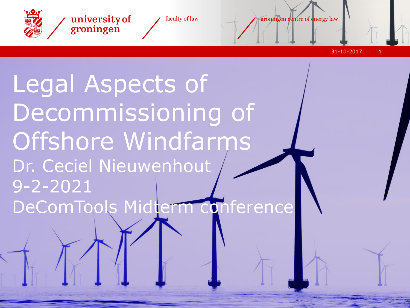

university of groningen

faculty of law groningen centre of energy law

31-10-2017 1

Legal Aspects of Decommissioning of Offshore Windfarms Dr. Ceciel Nieuwenhout 9-2-2021 DeComTools Midterm conference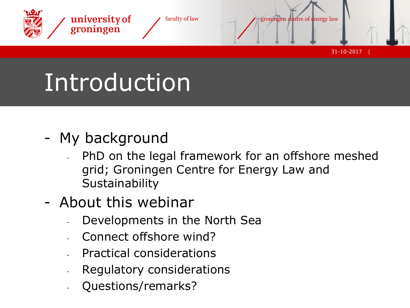

# **Introduction**

- My background
	- PhD on the legal framework for an offshore meshed grid; Groningen Centre for Energy Law and **Sustainability**
- About this webinar
	- Developments in the North Sea
	- Connect offshore wind?
	- Practical considerations
	- Regulatory considerations
	- Questions/remarks?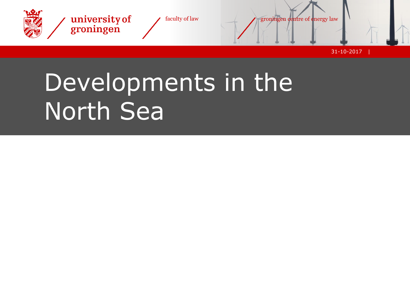

### Developments in the North Sea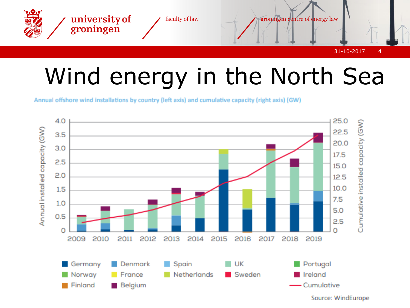

#### Wind energy in the North Sea

Annual offshore wind installations by country (left axis) and cumulative capacity (right axis) (GW)

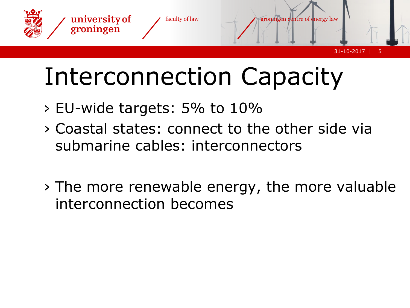

## Interconnection Capacity

- › EU-wide targets: 5% to 10%
- › Coastal states: connect to the other side via submarine cables: interconnectors
- › The more renewable energy, the more valuable interconnection becomes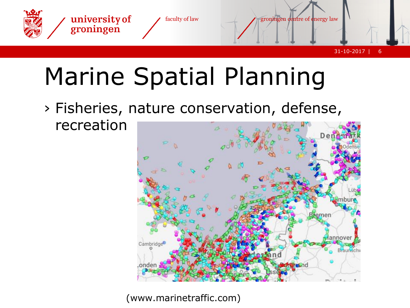

## Marine Spatial Planning

› Fisheries, nature conservation, defense, recreation



(www.marinetraffic.com)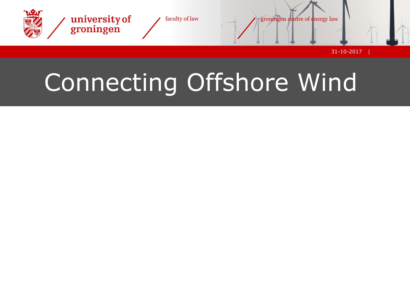

## Connecting Offshore Wind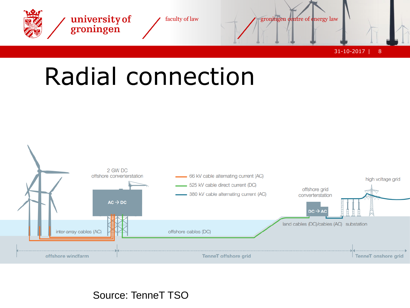



Source: TenneT TSO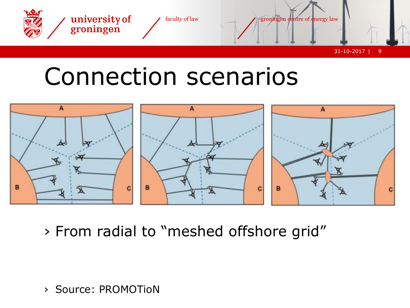

#### Connection scenarios



› From radial to "meshed offshore grid"

› Source: PROMOTioN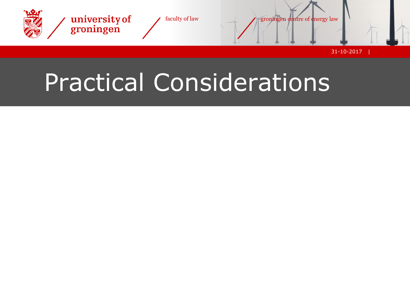

### Practical Considerations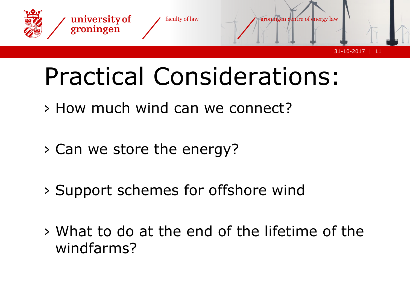

## Practical Considerations:

- › How much wind can we connect?
- › Can we store the energy?
- › Support schemes for offshore wind
- › What to do at the end of the lifetime of the windfarms?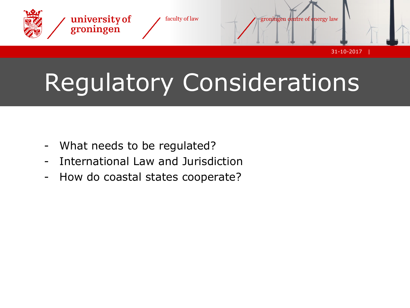

## Regulatory Considerations

- What needs to be regulated?
- International Law and Jurisdiction
- How do coastal states cooperate?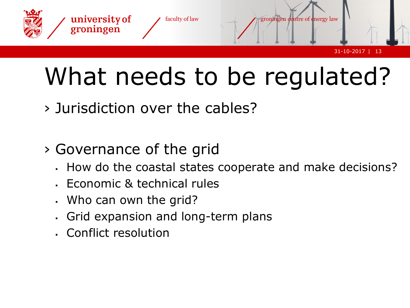

## What needs to be regulated?

› Jurisdiction over the cables?

#### › Governance of the grid

- How do the coastal states cooperate and make decisions?
- Economic & technical rules
- Who can own the grid?
- Grid expansion and long-term plans
- **Conflict resolution**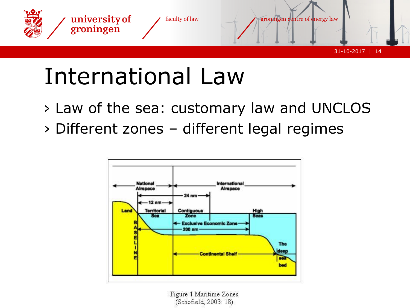

#### International Law

- › Law of the sea: customary law and UNCLOS
- › Different zones different legal regimes



Figure 1 Maritime Zones (Schofield, 2003: 18)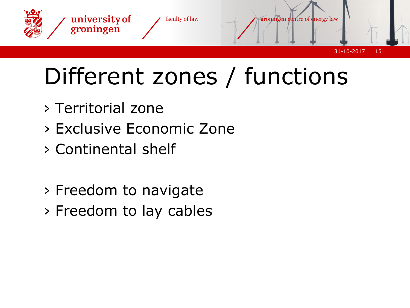

### Different zones / functions

- › Territorial zone
- › Exclusive Economic Zone
- › Continental shelf
- › Freedom to navigate
- › Freedom to lay cables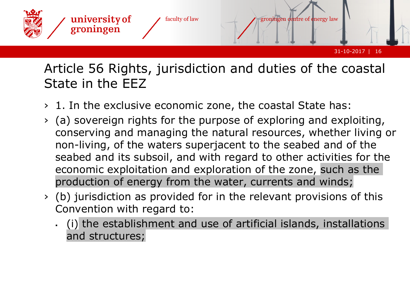

#### Article 56 Rights, jurisdiction and duties of the coastal State in the EEZ

- › 1. In the exclusive economic zone, the coastal State has:
- › (a) sovereign rights for the purpose of exploring and exploiting, conserving and managing the natural resources, whether living or non-living, of the waters superjacent to the seabed and of the seabed and its subsoil, and with regard to other activities for the economic exploitation and exploration of the zone, such as the production of energy from the water, currents and winds;
- › (b) jurisdiction as provided for in the relevant provisions of this Convention with regard to:
	- (i) the establishment and use of artificial islands, installations and structures;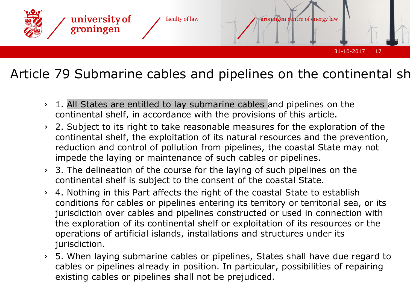

#### Article 79 Submarine cables and pipelines on the continental shelf

- › 1. All States are entitled to lay submarine cables and pipelines on the continental shelf, in accordance with the provisions of this article.
- › 2. Subject to its right to take reasonable measures for the exploration of the continental shelf, the exploitation of its natural resources and the prevention, reduction and control of pollution from pipelines, the coastal State may not impede the laying or maintenance of such cables or pipelines.
- › 3. The delineation of the course for the laying of such pipelines on the continental shelf is subject to the consent of the coastal State.
- › 4. Nothing in this Part affects the right of the coastal State to establish conditions for cables or pipelines entering its territory or territorial sea, or its jurisdiction over cables and pipelines constructed or used in connection with the exploration of its continental shelf or exploitation of its resources or the operations of artificial islands, installations and structures under its jurisdiction.
- › 5. When laying submarine cables or pipelines, States shall have due regard to cables or pipelines already in position. In particular, possibilities of repairing existing cables or pipelines shall not be prejudiced.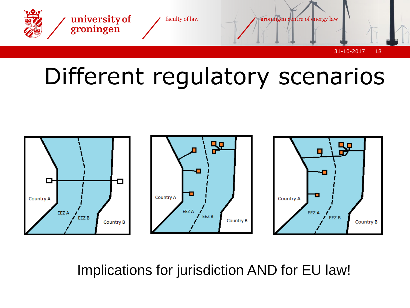



Implications for jurisdiction AND for EU law!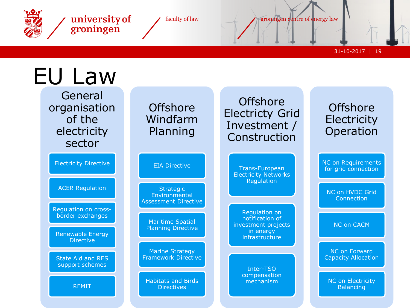

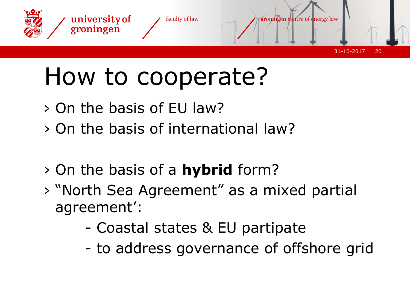

## How to cooperate?

- › On the basis of EU law?
- › On the basis of international law?
- › On the basis of a **hybrid** form?
- › "North Sea Agreement" as a mixed partial agreement':
	- Coastal states & EU partipate
	- to address governance of offshore grid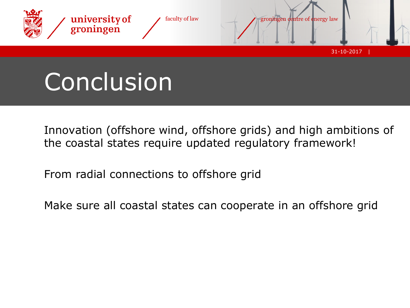

### Conclusion

Innovation (offshore wind, offshore grids) and high ambitions of the coastal states require updated regulatory framework!

From radial connections to offshore grid

Make sure all coastal states can cooperate in an offshore grid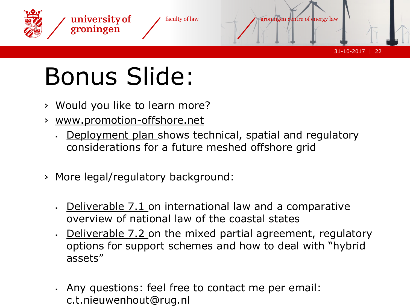

## Bonus Slide:

- › Would you like to learn more?
- › [www.promotion-offshore.net](http://www.promotion-offshore.net/)
	- [Deployment plan](https://www.promotion-offshore.net/fileadmin/PDFs/D12.4_-_Final_Deployment_Plan.pdf) shows technical, spatial and regulatory considerations for a future meshed offshore grid
- › More legal/regulatory background:
	- [Deliverable 7.1 o](https://www.promotion-offshore.net/fileadmin/PDFs/D7.1_-_Legal_framework_and_legal_barriers_to_an_offshore_HVDC_electricity_grid_in_the_North_Sea.pdf)n international law and a comparative overview of national law of the coastal states
	- [Deliverable 7.2 o](https://www.promotion-offshore.net/fileadmin/PDFs/D7.2_Designing_the_Target_Legal_Framework_for_a_Meshed_Offshore_Grid.pdf)n the mixed partial agreement, regulatory options for support schemes and how to deal with "hybrid assets"
	- . Any questions: feel free to contact me per email: c.t.nieuwenhout@rug.nl